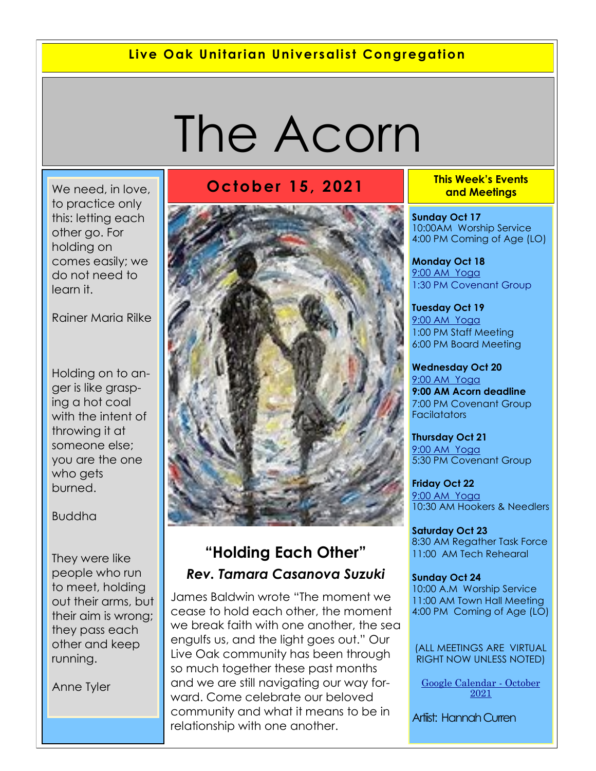#### **Live Oak Unitarian Universalist Congregation**

# The Acorn

We need, in love, [to practice only](https://www.quotemaster.org/q5c3b42c0c8b5ad8e182f229903309f30)  [this: letting each](https://www.quotemaster.org/q5c3b42c0c8b5ad8e182f229903309f30)  [other go. For](https://www.quotemaster.org/q5c3b42c0c8b5ad8e182f229903309f30)  [holding on](https://www.quotemaster.org/q5c3b42c0c8b5ad8e182f229903309f30)  [comes easily; we](https://www.quotemaster.org/q5c3b42c0c8b5ad8e182f229903309f30)  [do not need to](https://www.quotemaster.org/q5c3b42c0c8b5ad8e182f229903309f30)  [learn it.](https://www.quotemaster.org/q5c3b42c0c8b5ad8e182f229903309f30)

[Rainer Maria Rilke](https://www.quotemaster.org/author/Rainer+Maria+Rilke)

[Holding on to an](https://www.quotemaster.org/q4bdf158cf8d50a21bc5e9a83a2180fa6)[ger is like grasp](https://www.quotemaster.org/q4bdf158cf8d50a21bc5e9a83a2180fa6)[ing a hot coal](https://www.quotemaster.org/q4bdf158cf8d50a21bc5e9a83a2180fa6)  [with the intent of](https://www.quotemaster.org/q4bdf158cf8d50a21bc5e9a83a2180fa6)  [throwing it at](https://www.quotemaster.org/q4bdf158cf8d50a21bc5e9a83a2180fa6)  [someone else;](https://www.quotemaster.org/q4bdf158cf8d50a21bc5e9a83a2180fa6)  [you are the one](https://www.quotemaster.org/q4bdf158cf8d50a21bc5e9a83a2180fa6)  [who gets](https://www.quotemaster.org/q4bdf158cf8d50a21bc5e9a83a2180fa6)  [burned.](https://www.quotemaster.org/q4bdf158cf8d50a21bc5e9a83a2180fa6)

#### Buddha

[They were like](https://www.quotemaster.org/qe89452c65338fb9f7428dc6d1884abd1)  [people who run](https://www.quotemaster.org/qe89452c65338fb9f7428dc6d1884abd1)  [to meet, holding](https://www.quotemaster.org/qe89452c65338fb9f7428dc6d1884abd1)  [out their arms, but](https://www.quotemaster.org/qe89452c65338fb9f7428dc6d1884abd1)  [their aim is wrong;](https://www.quotemaster.org/qe89452c65338fb9f7428dc6d1884abd1)  [they pass each](https://www.quotemaster.org/qe89452c65338fb9f7428dc6d1884abd1)  [other and keep](https://www.quotemaster.org/qe89452c65338fb9f7428dc6d1884abd1)  [running.](https://www.quotemaster.org/qe89452c65338fb9f7428dc6d1884abd1)

Anne Tyler

### **October 15, 2021 This Week's Events**



### **"Holding Each Other"** *Rev. Tamara Casanova Suzuki*

James Baldwin wrote "The moment we cease to hold each other, the moment we break faith with one another, the sea engulfs us, and the light goes out." Our Live Oak community has been through so much together these past months and we are still navigating our way forward. Come celebrate our beloved community and what it means to be in relationship with one another.

**and Meetings** 

**Sunday Oct 17** 10:00AM Worship Service 4:00 PM Coming of Age (LO)

**Monday Oct 18** 9[:00 AM Yoga](https://us02web.zoom.us/j/86278199291?pwd=WUh1MFJyVXNVOTIyQ1NmanJoSmNXQT09) 1:30 PM Covenant Group

**Tuesday Oct 19** [9:](https://us02web.zoom.us/meeting/register/tZ0pc-6qrTwqH9WUfmrB_nZu0MWqJ8CyS3Uw)[00 AM Yoga](https://us02web.zoom.us/j/86278199291?pwd=WUh1MFJyVXNVOTIyQ1NmanJoSmNXQT09)  1:00 PM Staff Meeting 6:00 PM Board Meeting

**Wednesday Oct 20** [9:](https://us02web.zoom.us/meeting/register/tZ0pc-6qrTwqH9WUfmrB_nZu0MWqJ8CyS3Uw)[00 AM Yoga](https://us02web.zoom.us/j/86278199291?pwd=WUh1MFJyVXNVOTIyQ1NmanJoSmNXQT09) **9:00 AM Acorn deadline** 7:00 PM Covenant Group **Facilatators** 

**Thursday Oct 21** [9:](https://us02web.zoom.us/meeting/register/tZ0pc-6qrTwqH9WUfmrB_nZu0MWqJ8CyS3Uw)[00 AM Yoga](https://us02web.zoom.us/j/86278199291?pwd=WUh1MFJyVXNVOTIyQ1NmanJoSmNXQT09) 5:30 PM Covenant Group

**Friday Oct 22** [9:](https://us02web.zoom.us/meeting/register/tZ0pc-6qrTwqH9WUfmrB_nZu0MWqJ8CyS3Uw)[00 AM Yoga](https://us02web.zoom.us/j/86278199291?pwd=WUh1MFJyVXNVOTIyQ1NmanJoSmNXQT09) 10:30 AM Hookers & Needlers

**Saturday Oct 23** 8:30 AM Regather Task Force 11:00 AM Tech Rehearal

**Sunday Oct 24** 10:00 A.M Worship Service 11:00 AM Town Hall Meeting 4:00 PM Coming of Age (LO)

(ALL MEETINGS ARE VIRTUAL RIGHT NOW UNLESS NOTED)

[Google Calendar -](https://calendar.google.com/calendar/u/1/r/month/2021/10/1) October [2021](https://calendar.google.com/calendar/u/1/r/month/2021/10/1)

Artiist: Hannah Curren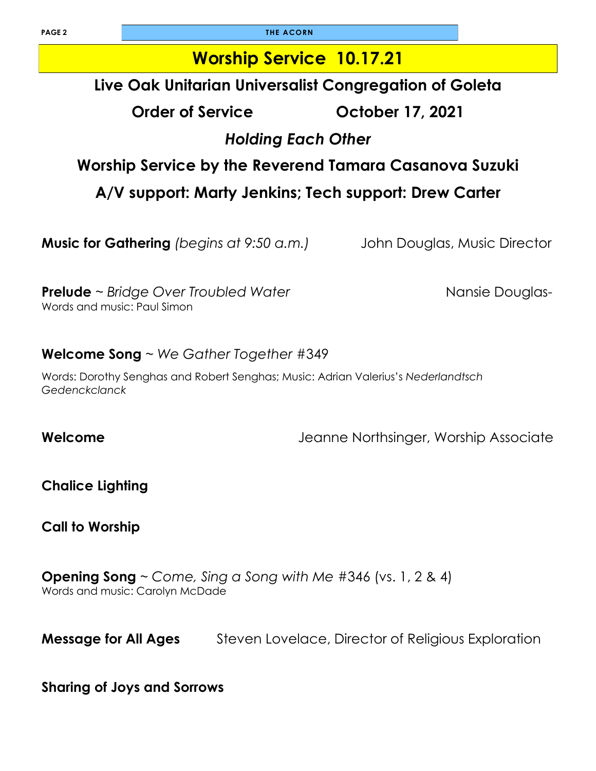**PAGE 2 THE ACORN** 

### **Worship Service 10.17.21**

### **Live Oak Unitarian Universalist Congregation of Goleta**

**Order of Service October 17, 2021**

### *Holding Each Other*

### **Worship Service by the Reverend Tamara Casanova Suzuki**

**A/V support: Marty Jenkins; Tech support: Drew Carter** 

**Music for Gathering** *(begins at 9:50 a.m.)* John Douglas, Music Director

**Prelude** ~ *Bridge Over Troubled Water* **Nansie Douglas- Nansie Douglas-**Words and music: Paul Simon

#### **Welcome Song** ~ *We Gather Together* #349

Words: Dorothy Senghas and Robert Senghas; Music: Adrian Valerius's *Nederlandtsch Gedenckclanck*

**Welcome** Jeanne Northsinger, Worship Associate

**Chalice Lighting** 

**Call to Worship** 

**Opening Song** ~ *Come, Sing a Song with Me* #346 (vs. 1, 2 & 4) Words and music: Carolyn McDade

**Message for All Ages** Steven Lovelace, Director of Religious Exploration

#### **Sharing of Joys and Sorrows**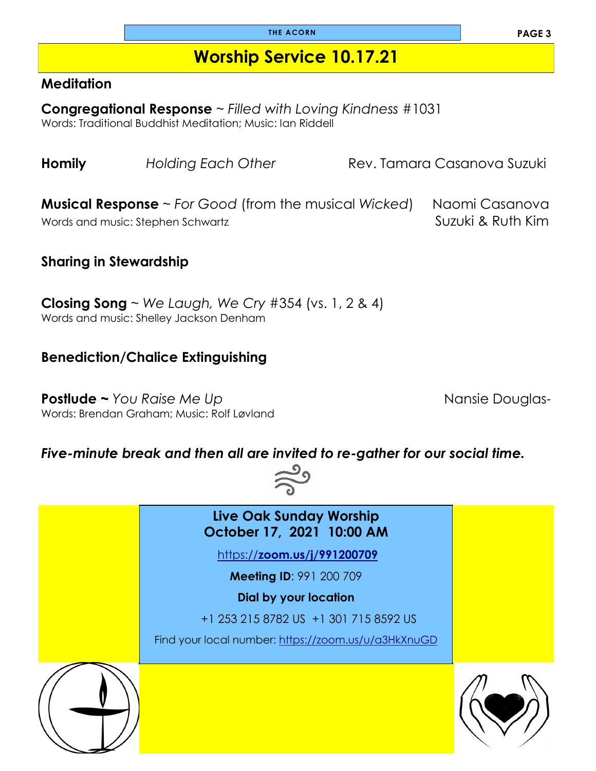### **Worship Service 10.17.21**

#### **Meditation**

**Congregational Response** ~ *Filled with Loving Kindness* #1031 Words: Traditional Buddhist Meditation; Music: Ian Riddell

**Homily** *Holding Each Other* **Rev. Tamara Casanova Suzuki** 

**Musical Response** ~ *For Good* (from the musical Wicked) Naomi Casanova Words and music: Stephen Schwartz Number of Suzuki & Ruth Kim

### **Sharing in Stewardship**

**Closing Song** ~ *We Laugh, We Cry* #354 (vs. 1, 2 & 4) Words and music: Shelley Jackson Denham

#### **Benediction/Chalice Extinguishing**

**Postlude ~** *You Raise Me Up* **Nansie Douglas- Nansie Douglas-**Words: Brendan Graham; Music: Rolf Løvland

#### *Five-minute break and then all are invited to re-gather for our social time.*



**Live Oak Sunday Worship October 17, 2021 10:00 AM** https://**[zoom.us/j/991200709](https://zoom.us/j/991200709) Meeting ID**: 991 200 709 **Dial by your location**  +1 253 215 8782 US +1 301 715 8592 US Find your local number: <https://zoom.us/u/a3HkXnuGD>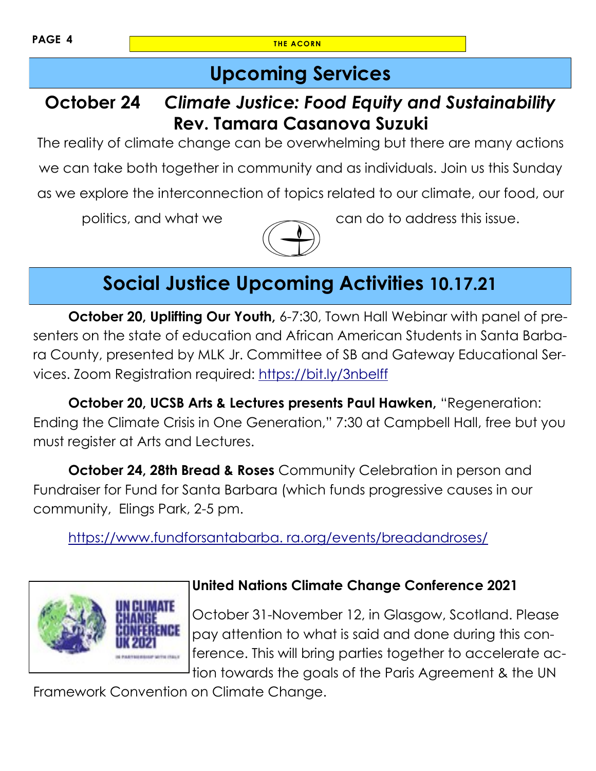### **Upcoming Services**

### **October 24** *Climate Justice: Food Equity and Sustainability* **Rev. Tamara Casanova Suzuki**

The reality of climate change can be overwhelming but there are many actions we can take both together in community and as individuals. Join us this Sunday as we explore the interconnection of topics related to our climate, our food, our



politics, and what we can do to address this issue.

## **Social Justice Upcoming Activities 10.17.21**

**October 20, Uplifting Our Youth,** 6-7:30, Town Hall Webinar with panel of presenters on the state of education and African American Students in Santa Barbara County, presented by MLK Jr. Committee of SB and Gateway Educational Services. Zoom Registration required: <https://bit.ly/3nbelff>

**October 20, UCSB Arts & Lectures presents Paul Hawken,** "Regeneration: Ending the Climate Crisis in One Generation," 7:30 at Campbell Hall, free but you must register at Arts and Lectures.

**October 24, 28th Bread & Roses** Community Celebration in person and Fundraiser for Fund for Santa Barbara (which funds progressive causes in our community, Elings Park, 2-5 pm.

[https://www.fundforsantabarba. ra.org/events/breadandroses/](https://www.fundforsantabarbara.org/events/breadandroses/)



#### **United Nations Climate Change Conference 2021**

October 31-November 12, in Glasgow, Scotland. Please pay attention to what is said and done during this conference. This will bring parties together to accelerate action towards the goals of the Paris Agreement & the UN

Framework Convention on Climate Change.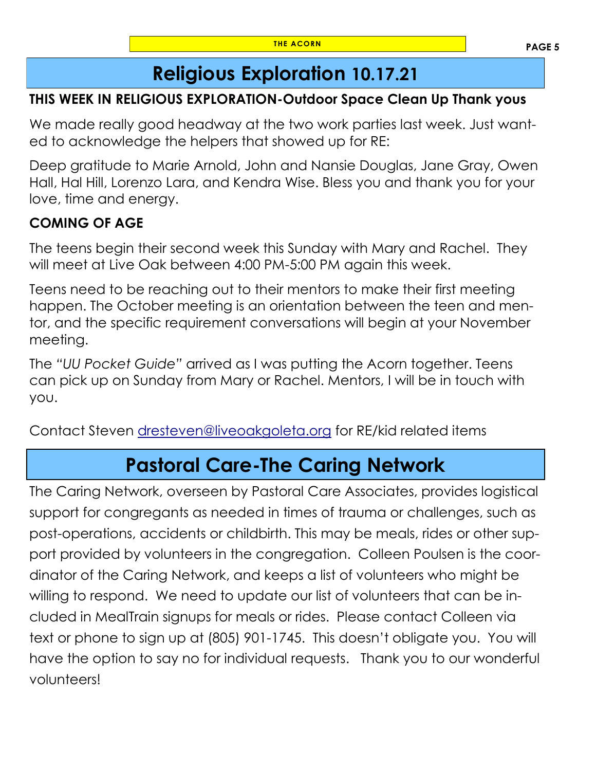### **Religious Exploration 10.17.21**

### **THIS WEEK IN RELIGIOUS EXPLORATION-Outdoor Space Clean Up Thank yous**

We made really good headway at the two work parties last week. Just wanted to acknowledge the helpers that showed up for RE:

Deep gratitude to Marie Arnold, John and Nansie Douglas, Jane Gray, Owen Hall, Hal Hill, Lorenzo Lara, and Kendra Wise. Bless you and thank you for your love, time and energy.

### **COMING OF AGE**

The teens begin their second week this Sunday with Mary and Rachel. They will meet at Live Oak between 4:00 PM-5:00 PM again this week.

Teens need to be reaching out to their mentors to make their first meeting happen. The October meeting is an orientation between the teen and mentor, and the specific requirement conversations will begin at your November meeting.

The *"UU Pocket Guide"* arrived as I was putting the Acorn together. Teens can pick up on Sunday from Mary or Rachel. Mentors, I will be in touch with you.

Contact Steven [dresteven@liveoakgoleta.org](mailto:dresteven@liveoakgoleta.org) for RE/kid related items

### **Pastoral Care-The Caring Network**

The Caring Network, overseen by Pastoral Care Associates, provides logistical support for congregants as needed in times of trauma or challenges, such as post-operations, accidents or childbirth. This may be meals, rides or other support provided by volunteers in the congregation. Colleen Poulsen is the coordinator of the Caring Network, and keeps a list of volunteers who might be willing to respond. We need to update our list of volunteers that can be included in MealTrain signups for meals or rides. Please contact Colleen via text or phone to sign up at (805) 901-1745. This doesn't obligate you. You will have the option to say no for individual requests. Thank you to our wonderful volunteers!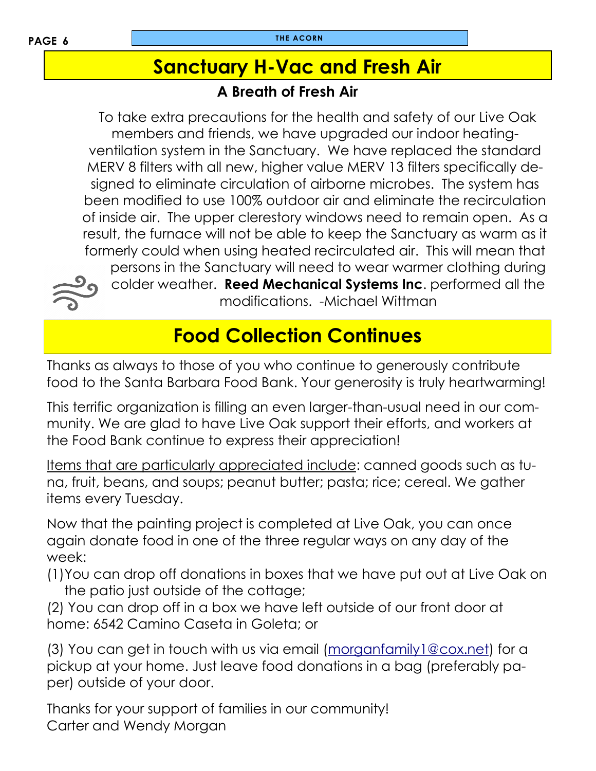### **Sanctuary H-Vac and Fresh Air**

### **A Breath of Fresh Air**

 To take extra precautions for the health and safety of our Live Oak members and friends, we have upgraded our indoor heatingventilation system in the Sanctuary. We have replaced the standard MERV 8 filters with all new, higher value MERV 13 filters specifically designed to eliminate circulation of airborne microbes. The system has been modified to use 100% outdoor air and eliminate the recirculation of inside air. The upper clerestory windows need to remain open. As a result, the furnace will not be able to keep the Sanctuary as warm as it formerly could when using heated recirculated air. This will mean that persons in the Sanctuary will need to wear warmer clothing during colder weather. **Reed Mechanical Systems Inc**. performed all the modifications. -Michael Wittman

### **Food Collection Continues**

Thanks as always to those of you who continue to generously contribute food to the Santa Barbara Food Bank. Your generosity is truly heartwarming!

This terrific organization is filling an even larger-than-usual need in our community. We are glad to have Live Oak support their efforts, and workers at the Food Bank continue to express their appreciation!

Items that are particularly appreciated include: canned goods such as tuna, fruit, beans, and soups; peanut butter; pasta; rice; cereal. We gather items every Tuesday.

Now that the painting project is completed at Live Oak, you can once again donate food in one of the three regular ways on any day of the week:

(1)You can drop off donations in boxes that we have put out at Live Oak on the patio just outside of the cottage;

(2) You can drop off in a box we have left outside of our front door at home: 6542 Camino Caseta in Goleta; or

(3) You can get in touch with us via email ([morganfamily1@cox.net\)](mailto:morganfamily1@cox.net) for a pickup at your home. Just leave food donations in a bag (preferably paper) outside of your door.

Thanks for your support of families in our community! Carter and Wendy Morgan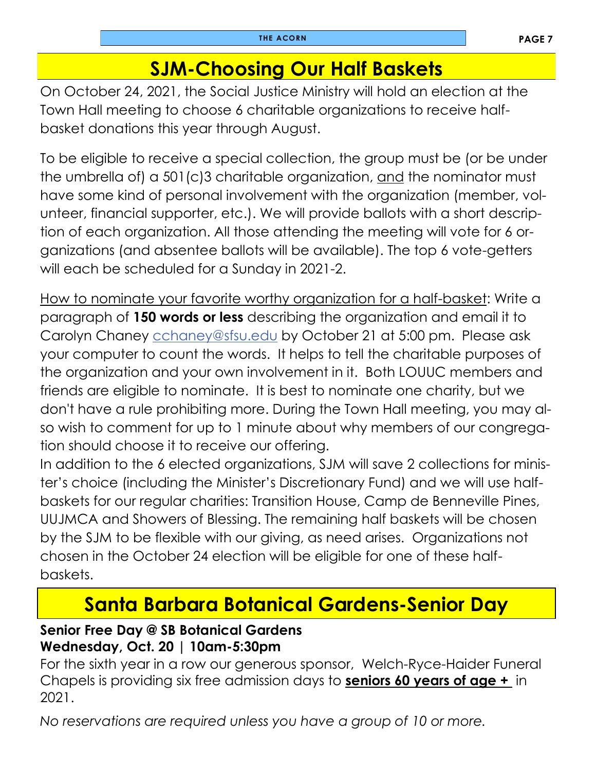### **SJM-Choosing Our Half Baskets**

On October 24, 2021, the Social Justice Ministry will hold an election at the Town Hall meeting to choose 6 charitable organizations to receive halfbasket donations this year through August.

To be eligible to receive a special collection, the group must be (or be under the umbrella of) a 501(c)3 charitable organization, and the nominator must have some kind of personal involvement with the organization (member, volunteer, financial supporter, etc.). We will provide ballots with a short description of each organization. All those attending the meeting will vote for 6 organizations (and absentee ballots will be available). The top 6 vote-getters will each be scheduled for a Sunday in 2021-2.

How to nominate your favorite worthy organization for a half-basket: Write a paragraph of **150 words or less** describing the organization and email it to Carolyn Chaney [c](mailto:kayebonney@yahoo.com)[chaney@sfsu.edu](mailto:chaney@sfsu.edu) by October 21 at 5:00 pm. Please ask your computer to count the words. It helps to tell the charitable purposes of the organization and your own involvement in it. Both LOUUC members and friends are eligible to nominate. It is best to nominate one charity, but we don't have a rule prohibiting more. During the Town Hall meeting, you may also wish to comment for up to 1 minute about why members of our congregation should choose it to receive our offering.

In addition to the 6 elected organizations, SJM will save 2 collections for minister's choice (including the Minister's Discretionary Fund) and we will use halfbaskets for our regular charities: Transition House, Camp de Benneville Pines, UUJMCA and Showers of Blessing. The remaining half baskets will be chosen by the SJM to be flexible with our giving, as need arises. Organizations not chosen in the October 24 election will be eligible for one of these halfbaskets.

### **Santa Barbara Botanical Gardens-Senior Day**

#### **Senior Free Day @ SB Botanical Gardens Wednesday, Oct. 20 | 10am-5:30pm**

For the sixth year in a row our generous sponsor, Welch-Ryce-Haider Funeral Chapels is providing six free admission days to **seniors 60 years of age +** in 2021.

*No reservations are required unless you have a group of 10 or more.*